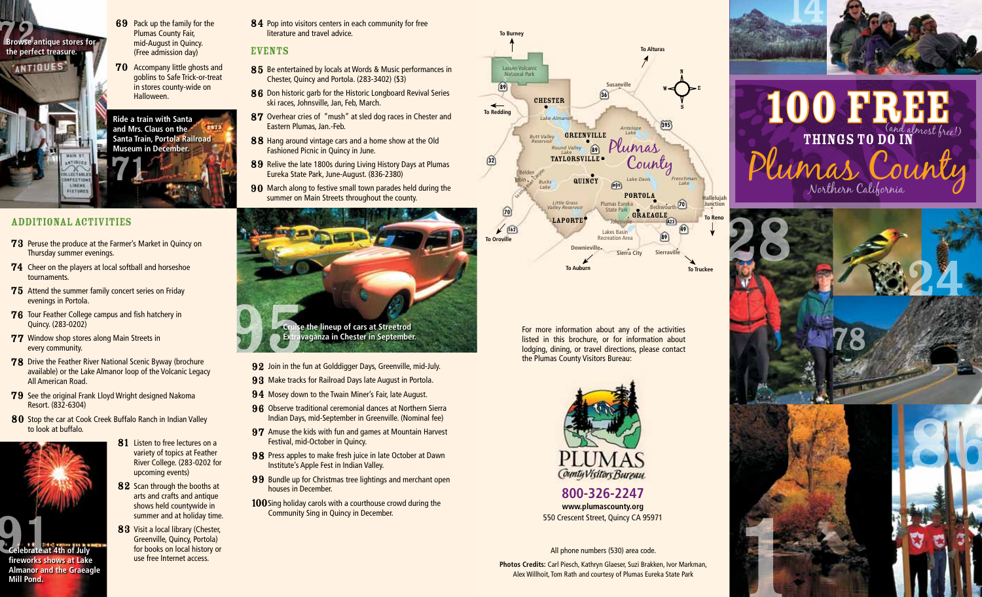

- 69 Pack up the family for the Plumas County Fair, mid-August in Quincy. (Free admission day)
- **70** Accompany little ghosts and goblins to Safe Trick-or-treat in stores county-wide on Halloween.

71 **Ride a train with Santa and Mrs. Claus on the Santa Train, Portola Railroad Museum in December.**

# ADDITIONAL ACTIVITIES

ONFECTION LINENS FIXTURE

- **73** Peruse the produce at the Farmer's Market in Ouincy on Thursday summer evenings.
- 74 Cheer on the players at local softball and horseshoe tournaments.
- 75 Attend the summer family concert series on Friday evenings in Portola.
- 76 Tour Feather College campus and fish hatchery in Quincy. (283-0202)
- 77 Window shop stores along Main Streets in every community.
- 78 Drive the Feather River National Scenic Byway (brochure available) or the Lake Almanor loop of the Volcanic Legacy All American Road.
- 79 See the original Frank Lloyd Wright designed Nakoma Resort. (832-6304)
- 80 Stop the car at Cook Creek Buffalo Ranch in Indian Valley to look at buffalo.



- 81 Listen to free lectures on a variety of topics at Feather River College. (283-0202 for
- 82 Scan through the booths at arts and crafts and antique shows held countywide in summer and at holiday time.

upcoming events)

83 Visit a local library (Chester, Greenville, Quincy, Portola) for books on local history or use free Internet access.

84 Pop into visitors centers in each community for free literature and travel advice.

## EVENTS

- 85 Be entertained by locals at Words & Music performances in Chester, Quincy and Portola. (283-3402) (\$3)
- 86 Don historic garb for the Historic Longboard Revival Series ski races, Johnsville, Jan, Feb, March.
- 87 Overhear cries of "mush" at sled dog races in Chester and Eastern Plumas, Jan.-Feb.
- 88 Hang around vintage cars and a home show at the Old Fashioned Picnic in Quincy in June.
- 89 Relive the late 1800s during Living History Days at Plumas Eureka State Park, June-August. (836-2380)
- 90 March along to festive small town parades held during the summer on Main Streets throughout the county.



- 92 Join in the fun at Golddigger Days, Greenville, mid-July.
- 93 Make tracks for Railroad Days late August in Portola.
- 94 Mosey down to the Twain Miner's Fair, late August.
- 96 Observe traditional ceremonial dances at Northern Sierra Indian Days, mid-September in Greenville. (Nominal fee)
- 97 Amuse the kids with fun and games at Mountain Harvest Festival, mid-October in Quincy.
- 98 Press apples to make fresh juice in late October at Dawn Institute's Apple Fest in Indian Valley.
- 99 Bundle up for Christmas tree lightings and merchant open houses in December.
- **100** Sing holiday carols with a courthouse crowd during the Community Sing in Quincy in December.



For more information about any of the activities listed in this brochure, or for information about lodging, dining, or travel directions, please contact the Plumas County Visitors Bureau:



**800-326-2247 www.plumascounty.org** 550 Crescent Street, Quincy CA 95971

All phone numbers (530) area code. **Photos Credits:** Carl Piesch, Kathryn Glaeser, Suzi Brakken, Ivor Markman,

Alex Willhoit, Tom Rath and courtesy of Plumas Eureka State Park